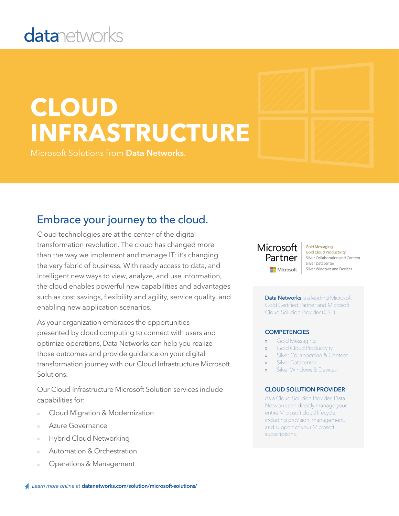# **datanetworks**

# **CLOUD INFRASTRUCTURE**

Microsoft Solutions from **Data Networks**.

### Embrace your journey to the cloud.

Cloud technologies are at the center of the digital transformation revolution. The cloud has changed more than the way we implement and manage IT; it's changing the very fabric of business. With ready access to data, and intelligent new ways to view, analyze, and use information, the cloud enables powerful new capabilities and advantages such as cost savings, flexibility and agility, service quality, and enabling new application scenarios.

As your organization embraces the opportunities presented by cloud computing to connect with users and optimize operations, Data Networks can help you realize those outcomes and provide guidance on your digital transformation journey with our Cloud Infrastructure Microsoft Solutions.

Our Cloud Infrastructure Microsoft Solution services include capabilities for:

- Cloud Migration & Modernization
- Azure Governance
- **Hybrid Cloud Networking**
- Automation & Orchestration
- Operations & Management

#### Microsoft Partner Microsoft

**Gold Messaging Gold Cloud Productivity** Silver Collaboration and Content Silver Datacenter Silver Windows and Devices

Data Networks is a leading Microsoft Gold Certified Partner and Microsoft Cloud Solution Provider (CSP).

#### **COMPETENCIES**

- Gold Messaging
- » Gold Cloud Productivity
- Silver Collaboration & Content
- Silver Datacenter
- Silver Windows & Devices

#### **CLOUD SOLUTION PROVIDER**

As a Cloud Solution Provider, Data Networks can directly manage your entire Microsoft cloud lifecycle, including provision, management, and support of your Microsoft subscriptions.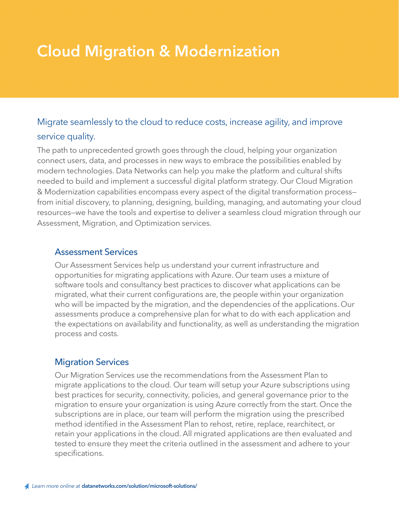## **Cloud Migration & Modernization**

### Migrate seamlessly to the cloud to reduce costs, increase agility, and improve service quality.

The path to unprecedented growth goes through the cloud, helping your organization connect users, data, and processes in new ways to embrace the possibilities enabled by modern technologies. Data Networks can help you make the platform and cultural shifts needed to build and implement a successful digital platform strategy. Our Cloud Migration & Modernization capabilities encompass every aspect of the digital transformation process from initial discovery, to planning, designing, building, managing, and automating your cloud resources—we have the tools and expertise to deliver a seamless cloud migration through our Assessment, Migration, and Optimization services.

#### Assessment Services

Our Assessment Services help us understand your current infrastructure and opportunities for migrating applications with Azure. Our team uses a mixture of software tools and consultancy best practices to discover what applications can be migrated, what their current configurations are, the people within your organization who will be impacted by the migration, and the dependencies of the applications. Our assessments produce a comprehensive plan for what to do with each application and the expectations on availability and functionality, as well as understanding the migration process and costs.

#### Migration Services

Our Migration Services use the recommendations from the Assessment Plan to migrate applications to the cloud. Our team will setup your Azure subscriptions using best practices for security, connectivity, policies, and general governance prior to the migration to ensure your organization is using Azure correctly from the start. Once the subscriptions are in place, our team will perform the migration using the prescribed method identified in the Assessment Plan to rehost, retire, replace, rearchitect, or retain your applications in the cloud. All migrated applications are then evaluated and tested to ensure they meet the criteria outlined in the assessment and adhere to your specifications.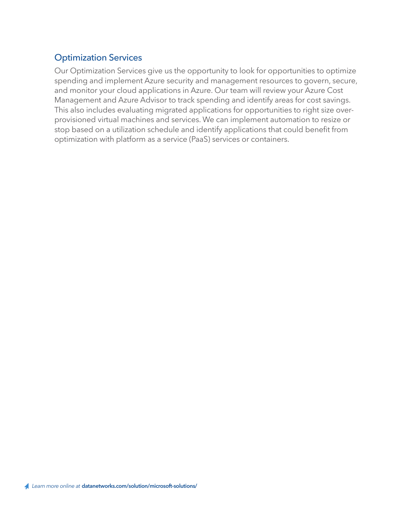#### Optimization Services

Our Optimization Services give us the opportunity to look for opportunities to optimize spending and implement Azure security and management resources to govern, secure, and monitor your cloud applications in Azure. Our team will review your Azure Cost Management and Azure Advisor to track spending and identify areas for cost savings. This also includes evaluating migrated applications for opportunities to right size overprovisioned virtual machines and services. We can implement automation to resize or stop based on a utilization schedule and identify applications that could benefit from optimization with platform as a service (PaaS) services or containers.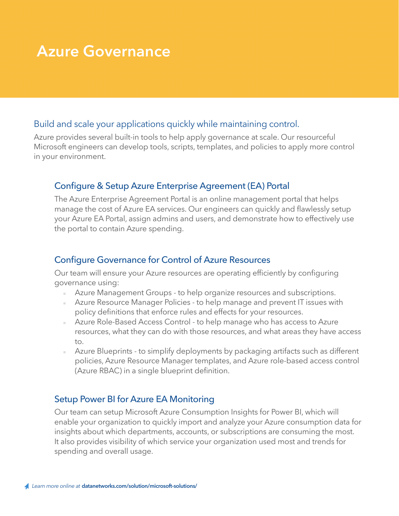### **Azure Governance**

#### Build and scale your applications quickly while maintaining control.

Azure provides several built-in tools to help apply governance at scale. Our resourceful Microsoft engineers can develop tools, scripts, templates, and policies to apply more control in your environment.

#### Configure & Setup Azure Enterprise Agreement (EA) Portal

The Azure Enterprise Agreement Portal is an online management portal that helps manage the cost of Azure EA services. Our engineers can quickly and flawlessly setup your Azure EA Portal, assign admins and users, and demonstrate how to effectively use the portal to contain Azure spending.

#### Configure Governance for Control of Azure Resources

Our team will ensure your Azure resources are operating efficiently by configuring governance using:

- Azure Management Groups to help organize resources and subscriptions.
- Azure Resource Manager Policies to help manage and prevent IT issues with policy definitions that enforce rules and effects for your resources.
- Azure Role-Based Access Control to help manage who has access to Azure resources, what they can do with those resources, and what areas they have access to.
- Azure Blueprints to simplify deployments by packaging artifacts such as different policies, Azure Resource Manager templates, and Azure role-based access control (Azure RBAC) in a single blueprint definition.

#### Setup Power BI for Azure EA Monitoring

Our team can setup Microsoft Azure Consumption Insights for Power BI, which will enable your organization to quickly import and analyze your Azure consumption data for insights about which departments, accounts, or subscriptions are consuming the most. It also provides visibility of which service your organization used most and trends for spending and overall usage.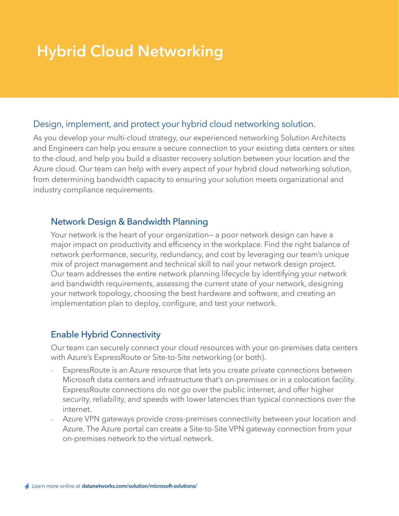## **Hybrid Cloud Networking**

#### Design, implement, and protect your hybrid cloud networking solution.

As you develop your multi-cloud strategy, our experienced networking Solution Architects and Engineers can help you ensure a secure connection to your existing data centers or sites to the cloud, and help you build a disaster recovery solution between your location and the Azure cloud. Our team can help with every aspect of your hybrid cloud networking solution, from determining bandwidth capacity to ensuring your solution meets organizational and industry compliance requirements.

#### Network Design & Bandwidth Planning

Your network is the heart of your organization— a poor network design can have a major impact on productivity and efficiency in the workplace. Find the right balance of network performance, security, redundancy, and cost by leveraging our team's unique mix of project management and technical skill to nail your network design project. Our team addresses the entire network planning lifecycle by identifying your network and bandwidth requirements, assessing the current state of your network, designing your network topology, choosing the best hardware and software, and creating an implementation plan to deploy, configure, and test your network.

#### Enable Hybrid Connectivity

Our team can securely connect your cloud resources with your on-premises data centers with Azure's ExpressRoute or Site-to-Site networking (or both).

- ExpressRoute is an Azure resource that lets you create private connections between Microsoft data centers and infrastructure that's on-premises or in a colocation facility. ExpressRoute connections do not go over the public internet, and offer higher security, reliability, and speeds with lower latencies than typical connections over the internet.
- Azure VPN gateways provide cross-premises connectivity between your location and Azure. The Azure portal can create a Site-to-Site VPN gateway connection from your on-premises network to the virtual network.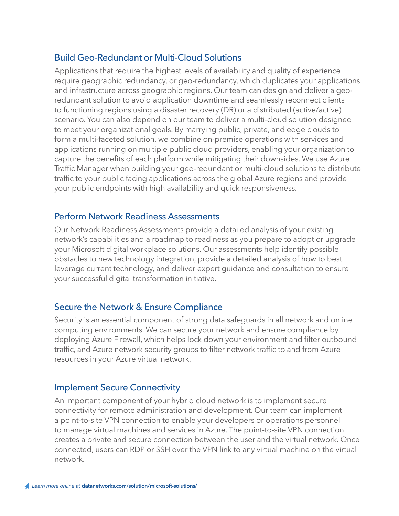#### Build Geo-Redundant or Multi-Cloud Solutions

Applications that require the highest levels of availability and quality of experience require geographic redundancy, or geo-redundancy, which duplicates your applications and infrastructure across geographic regions. Our team can design and deliver a georedundant solution to avoid application downtime and seamlessly reconnect clients to functioning regions using a disaster recovery (DR) or a distributed (active/active) scenario. You can also depend on our team to deliver a multi-cloud solution designed to meet your organizational goals. By marrying public, private, and edge clouds to form a multi-faceted solution, we combine on-premise operations with services and applications running on multiple public cloud providers, enabling your organization to capture the benefits of each platform while mitigating their downsides. We use Azure Traffic Manager when building your geo-redundant or multi-cloud solutions to distribute traffic to your public facing applications across the global Azure regions and provide your public endpoints with high availability and quick responsiveness.

#### Perform Network Readiness Assessments

Our Network Readiness Assessments provide a detailed analysis of your existing network's capabilities and a roadmap to readiness as you prepare to adopt or upgrade your Microsoft digital workplace solutions. Our assessments help identify possible obstacles to new technology integration, provide a detailed analysis of how to best leverage current technology, and deliver expert guidance and consultation to ensure your successful digital transformation initiative.

#### Secure the Network & Ensure Compliance

Security is an essential component of strong data safeguards in all network and online computing environments. We can secure your network and ensure compliance by deploying Azure Firewall, which helps lock down your environment and filter outbound traffic, and Azure network security groups to filter network traffic to and from Azure resources in your Azure virtual network.

#### Implement Secure Connectivity

An important component of your hybrid cloud network is to implement secure connectivity for remote administration and development. Our team can implement a point-to-site VPN connection to enable your developers or operations personnel to manage virtual machines and services in Azure. The point-to-site VPN connection creates a private and secure connection between the user and the virtual network. Once connected, users can RDP or SSH over the VPN link to any virtual machine on the virtual network.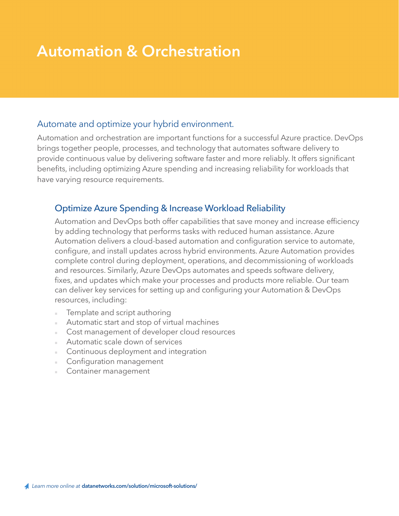### **Automation & Orchestration**

#### Automate and optimize your hybrid environment.

Automation and orchestration are important functions for a successful Azure practice. DevOps brings together people, processes, and technology that automates software delivery to provide continuous value by delivering software faster and more reliably. It offers significant benefits, including optimizing Azure spending and increasing reliability for workloads that have varying resource requirements.

#### Optimize Azure Spending & Increase Workload Reliability

Automation and DevOps both offer capabilities that save money and increase efficiency by adding technology that performs tasks with reduced human assistance. Azure Automation delivers a cloud-based automation and configuration service to automate, configure, and install updates across hybrid environments. Azure Automation provides complete control during deployment, operations, and decommissioning of workloads and resources. Similarly, Azure DevOps automates and speeds software delivery, fixes, and updates which make your processes and products more reliable. Our team can deliver key services for setting up and configuring your Automation & DevOps resources, including:

- Template and script authoring
- Automatic start and stop of virtual machines
- Cost management of developer cloud resources
- Automatic scale down of services
- Continuous deployment and integration
- Configuration management
- **Container management**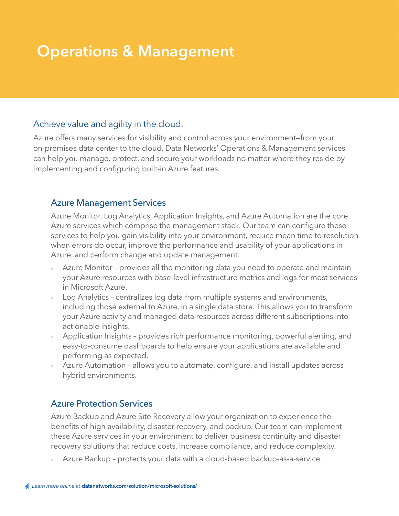### **Operations & Management**

#### Achieve value and agility in the cloud.

Azure offers many services for visibility and control across your environment—from your on-premises data center to the cloud. Data Networks' Operations & Management services can help you manage, protect, and secure your workloads no matter where they reside by implementing and configuring built-in Azure features.

#### Azure Management Services

Azure Monitor, Log Analytics, Application Insights, and Azure Automation are the core Azure services which comprise the management stack. Our team can configure these services to help you gain visibility into your environment, reduce mean time to resolution when errors do occur, improve the performance and usability of your applications in Azure, and perform change and update management.

- Azure Monitor provides all the monitoring data you need to operate and maintain your Azure resources with base-level infrastructure metrics and logs for most services in Microsoft Azure.
- Log Analytics centralizes log data from multiple systems and environments, including those external to Azure, in a single data store. This allows you to transform your Azure activity and managed data resources across different subscriptions into actionable insights.
- Application Insights provides rich performance monitoring, powerful alerting, and easy-to-consume dashboards to help ensure your applications are available and performing as expected.
- Azure Automation allows you to automate, configure, and install updates across hybrid environments.

#### Azure Protection Services

Azure Backup and Azure Site Recovery allow your organization to experience the benefits of high availability, disaster recovery, and backup. Our team can implement these Azure services in your environment to deliver business continuity and disaster recovery solutions that reduce costs, increase compliance, and reduce complexity.

Azure Backup - protects your data with a cloud-based backup-as-a-service.